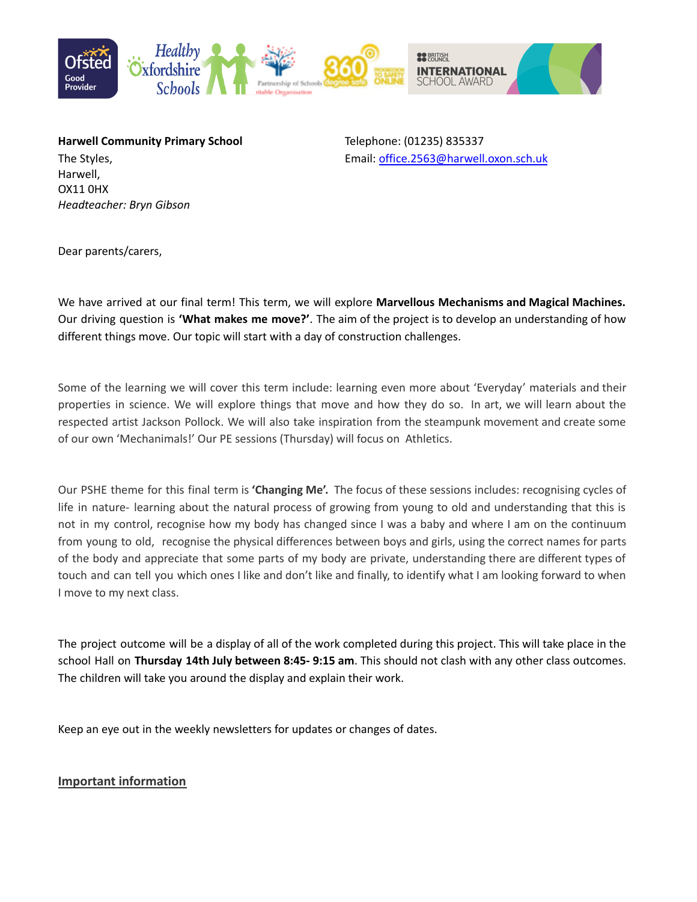

**Harwell Community Primary School** Telephone: (01235) 835337 Harwell, OX11 0HX *Headteacher: Bryn Gibson*

The Styles, Email: [office.2563@harwell.oxon.sch.uk](mailto:office.2563@harwell.oxon.sch.uk)

Dear parents/carers,

We have arrived at our final term! This term, we will explore **Marvellous Mechanisms and Magical Machines.** Our driving question is **'What makes me move?'**. The aim of the project is to develop an understanding of how different things move. Our topic will start with a day of construction challenges.

Some of the learning we will cover this term include: learning even more about 'Everyday' materials and their properties in science. We will explore things that move and how they do so. In art, we will learn about the respected artist Jackson Pollock. We will also take inspiration from the steampunk movement and create some of our own 'Mechanimals!' Our PE sessions (Thursday) will focus on Athletics.

Our PSHE theme for this final term is **'Changing Me'.** The focus of these sessions includes: recognising cycles of life in nature- learning about the natural process of growing from young to old and understanding that this is not in my control, recognise how my body has changed since I was a baby and where I am on the continuum from young to old, recognise the physical differences between boys and girls, using the correct names for parts of the body and appreciate that some parts of my body are private, understanding there are different types of touch and can tell you which ones I like and don't like and finally, to identify what I am looking forward to when I move to my next class.

The project outcome will be a display of all of the work completed during this project. This will take place in the school Hall on **Thursday 14th July between 8:45- 9:15 am**. This should not clash with any other class outcomes. The children will take you around the display and explain their work.

Keep an eye out in the weekly newsletters for updates or changes of dates.

#### **Important information**